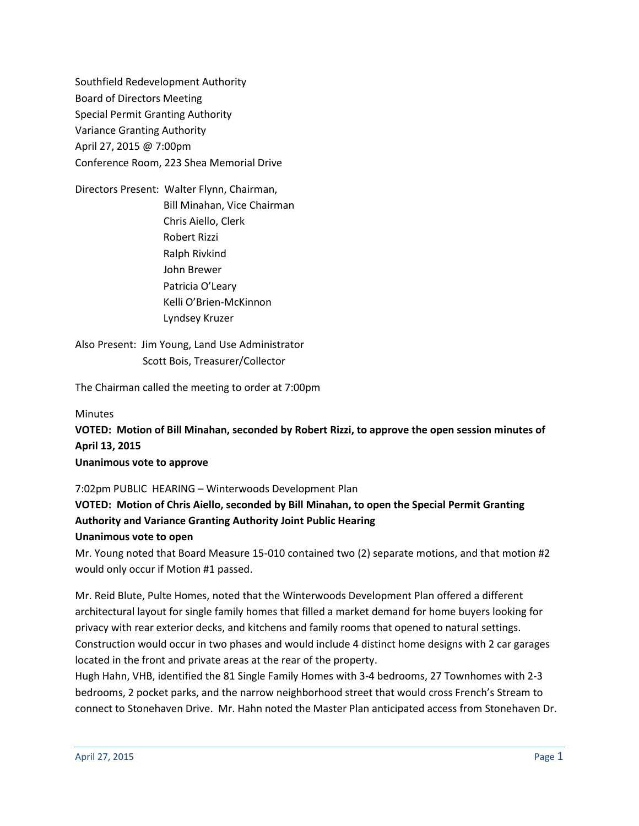Southfield Redevelopment Authority Board of Directors Meeting Special Permit Granting Authority Variance Granting Authority April 27, 2015 @ 7:00pm Conference Room, 223 Shea Memorial Drive

Directors Present: Walter Flynn, Chairman, Bill Minahan, Vice Chairman Chris Aiello, Clerk Robert Rizzi Ralph Rivkind John Brewer Patricia O'Leary Kelli O'Brien-McKinnon Lyndsey Kruzer

Also Present: Jim Young, Land Use Administrator Scott Bois, Treasurer/Collector

The Chairman called the meeting to order at 7:00pm

Minutes **VOTED: Motion of Bill Minahan, seconded by Robert Rizzi, to approve the open session minutes of April 13, 2015 Unanimous vote to approve**

7:02pm PUBLIC HEARING – Winterwoods Development Plan

**VOTED: Motion of Chris Aiello, seconded by Bill Minahan, to open the Special Permit Granting Authority and Variance Granting Authority Joint Public Hearing Unanimous vote to open**

Mr. Young noted that Board Measure 15-010 contained two (2) separate motions, and that motion #2 would only occur if Motion #1 passed.

Mr. Reid Blute, Pulte Homes, noted that the Winterwoods Development Plan offered a different architectural layout for single family homes that filled a market demand for home buyers looking for privacy with rear exterior decks, and kitchens and family rooms that opened to natural settings. Construction would occur in two phases and would include 4 distinct home designs with 2 car garages located in the front and private areas at the rear of the property.

Hugh Hahn, VHB, identified the 81 Single Family Homes with 3-4 bedrooms, 27 Townhomes with 2-3 bedrooms, 2 pocket parks, and the narrow neighborhood street that would cross French's Stream to connect to Stonehaven Drive. Mr. Hahn noted the Master Plan anticipated access from Stonehaven Dr.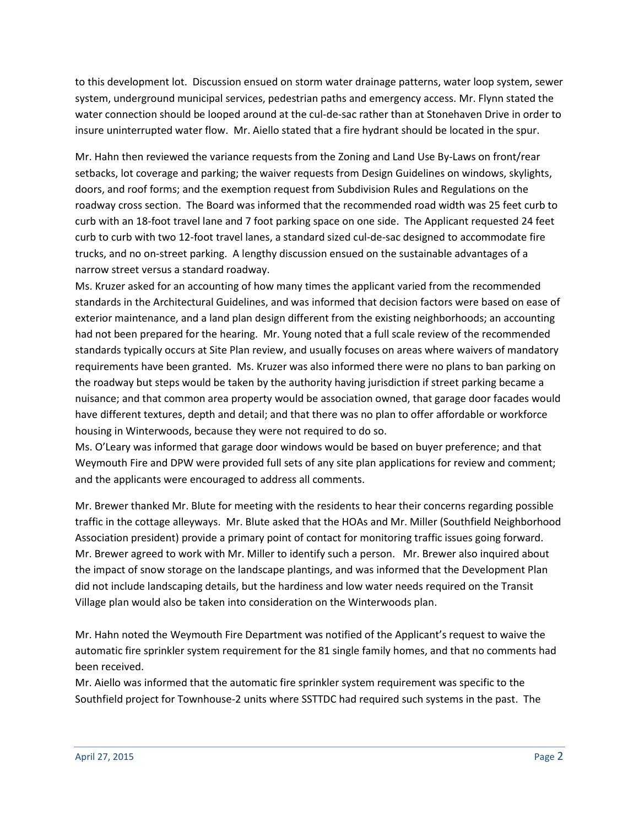to this development lot. Discussion ensued on storm water drainage patterns, water loop system, sewer system, underground municipal services, pedestrian paths and emergency access. Mr. Flynn stated the water connection should be looped around at the cul-de-sac rather than at Stonehaven Drive in order to insure uninterrupted water flow. Mr. Aiello stated that a fire hydrant should be located in the spur.

Mr. Hahn then reviewed the variance requests from the Zoning and Land Use By-Laws on front/rear setbacks, lot coverage and parking; the waiver requests from Design Guidelines on windows, skylights, doors, and roof forms; and the exemption request from Subdivision Rules and Regulations on the roadway cross section. The Board was informed that the recommended road width was 25 feet curb to curb with an 18-foot travel lane and 7 foot parking space on one side. The Applicant requested 24 feet curb to curb with two 12-foot travel lanes, a standard sized cul-de-sac designed to accommodate fire trucks, and no on-street parking. A lengthy discussion ensued on the sustainable advantages of a narrow street versus a standard roadway.

Ms. Kruzer asked for an accounting of how many times the applicant varied from the recommended standards in the Architectural Guidelines, and was informed that decision factors were based on ease of exterior maintenance, and a land plan design different from the existing neighborhoods; an accounting had not been prepared for the hearing. Mr. Young noted that a full scale review of the recommended standards typically occurs at Site Plan review, and usually focuses on areas where waivers of mandatory requirements have been granted. Ms. Kruzer was also informed there were no plans to ban parking on the roadway but steps would be taken by the authority having jurisdiction if street parking became a nuisance; and that common area property would be association owned, that garage door facades would have different textures, depth and detail; and that there was no plan to offer affordable or workforce housing in Winterwoods, because they were not required to do so.

Ms. O'Leary was informed that garage door windows would be based on buyer preference; and that Weymouth Fire and DPW were provided full sets of any site plan applications for review and comment; and the applicants were encouraged to address all comments.

Mr. Brewer thanked Mr. Blute for meeting with the residents to hear their concerns regarding possible traffic in the cottage alleyways. Mr. Blute asked that the HOAs and Mr. Miller (Southfield Neighborhood Association president) provide a primary point of contact for monitoring traffic issues going forward. Mr. Brewer agreed to work with Mr. Miller to identify such a person. Mr. Brewer also inquired about the impact of snow storage on the landscape plantings, and was informed that the Development Plan did not include landscaping details, but the hardiness and low water needs required on the Transit Village plan would also be taken into consideration on the Winterwoods plan.

Mr. Hahn noted the Weymouth Fire Department was notified of the Applicant's request to waive the automatic fire sprinkler system requirement for the 81 single family homes, and that no comments had been received.

Mr. Aiello was informed that the automatic fire sprinkler system requirement was specific to the Southfield project for Townhouse-2 units where SSTTDC had required such systems in the past. The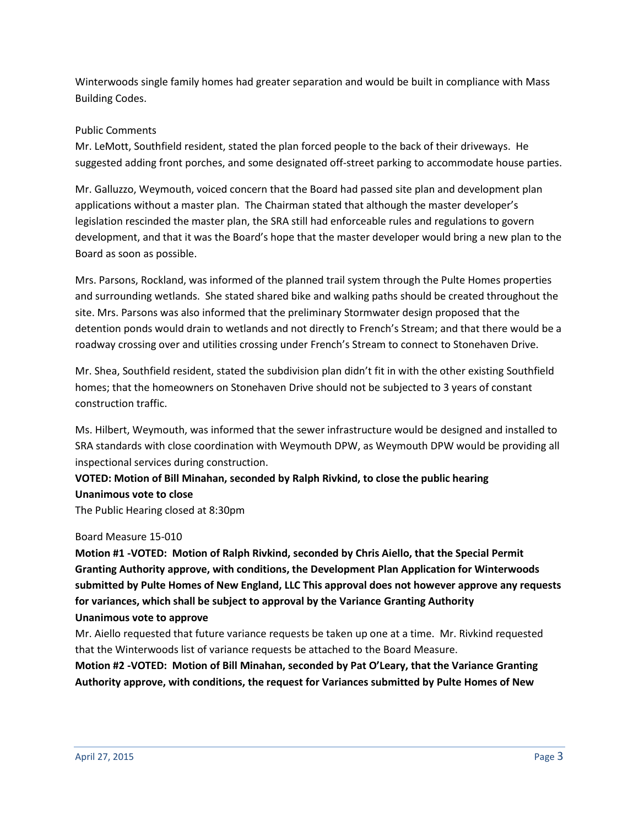Winterwoods single family homes had greater separation and would be built in compliance with Mass Building Codes.

## Public Comments

Mr. LeMott, Southfield resident, stated the plan forced people to the back of their driveways. He suggested adding front porches, and some designated off-street parking to accommodate house parties.

Mr. Galluzzo, Weymouth, voiced concern that the Board had passed site plan and development plan applications without a master plan. The Chairman stated that although the master developer's legislation rescinded the master plan, the SRA still had enforceable rules and regulations to govern development, and that it was the Board's hope that the master developer would bring a new plan to the Board as soon as possible.

Mrs. Parsons, Rockland, was informed of the planned trail system through the Pulte Homes properties and surrounding wetlands. She stated shared bike and walking paths should be created throughout the site. Mrs. Parsons was also informed that the preliminary Stormwater design proposed that the detention ponds would drain to wetlands and not directly to French's Stream; and that there would be a roadway crossing over and utilities crossing under French's Stream to connect to Stonehaven Drive.

Mr. Shea, Southfield resident, stated the subdivision plan didn't fit in with the other existing Southfield homes; that the homeowners on Stonehaven Drive should not be subjected to 3 years of constant construction traffic.

Ms. Hilbert, Weymouth, was informed that the sewer infrastructure would be designed and installed to SRA standards with close coordination with Weymouth DPW, as Weymouth DPW would be providing all inspectional services during construction.

# **VOTED: Motion of Bill Minahan, seconded by Ralph Rivkind, to close the public hearing**

**Unanimous vote to close**

The Public Hearing closed at 8:30pm

### Board Measure 15-010

**Motion #1 -VOTED: Motion of Ralph Rivkind, seconded by Chris Aiello, that the Special Permit Granting Authority approve, with conditions, the Development Plan Application for Winterwoods submitted by Pulte Homes of New England, LLC This approval does not however approve any requests for variances, which shall be subject to approval by the Variance Granting Authority Unanimous vote to approve**

Mr. Aiello requested that future variance requests be taken up one at a time. Mr. Rivkind requested that the Winterwoods list of variance requests be attached to the Board Measure.

**Motion #2 -VOTED: Motion of Bill Minahan, seconded by Pat O'Leary, that the Variance Granting Authority approve, with conditions, the request for Variances submitted by Pulte Homes of New**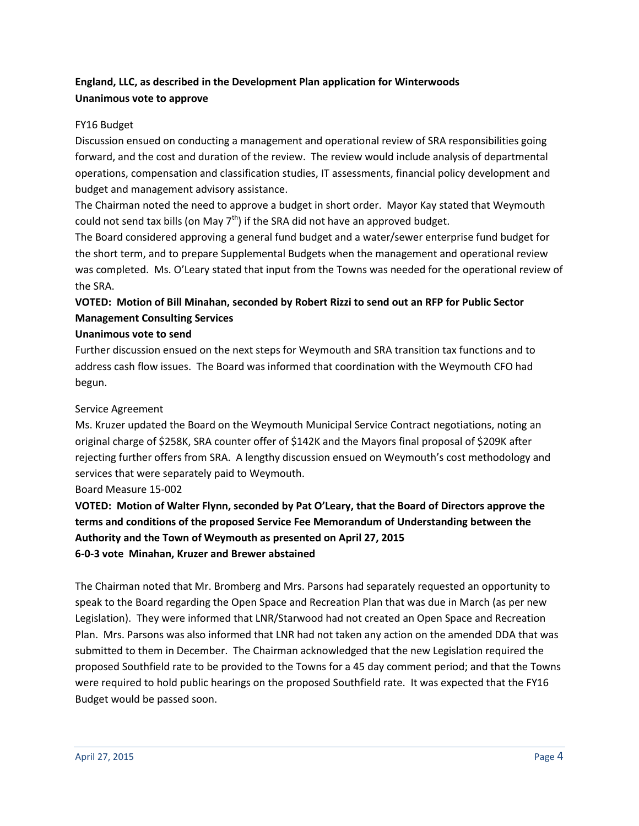# **England, LLC, as described in the Development Plan application for Winterwoods Unanimous vote to approve**

## FY16 Budget

Discussion ensued on conducting a management and operational review of SRA responsibilities going forward, and the cost and duration of the review. The review would include analysis of departmental operations, compensation and classification studies, IT assessments, financial policy development and budget and management advisory assistance.

The Chairman noted the need to approve a budget in short order. Mayor Kay stated that Weymouth could not send tax bills (on May  $7<sup>th</sup>$ ) if the SRA did not have an approved budget.

The Board considered approving a general fund budget and a water/sewer enterprise fund budget for the short term, and to prepare Supplemental Budgets when the management and operational review was completed. Ms. O'Leary stated that input from the Towns was needed for the operational review of the SRA.

# **VOTED: Motion of Bill Minahan, seconded by Robert Rizzi to send out an RFP for Public Sector Management Consulting Services**

## **Unanimous vote to send**

Further discussion ensued on the next steps for Weymouth and SRA transition tax functions and to address cash flow issues. The Board was informed that coordination with the Weymouth CFO had begun.

## Service Agreement

Ms. Kruzer updated the Board on the Weymouth Municipal Service Contract negotiations, noting an original charge of \$258K, SRA counter offer of \$142K and the Mayors final proposal of \$209K after rejecting further offers from SRA. A lengthy discussion ensued on Weymouth's cost methodology and services that were separately paid to Weymouth.

Board Measure 15-002

**VOTED: Motion of Walter Flynn, seconded by Pat O'Leary, that the Board of Directors approve the terms and conditions of the proposed Service Fee Memorandum of Understanding between the Authority and the Town of Weymouth as presented on April 27, 2015 6-0-3 vote Minahan, Kruzer and Brewer abstained**

The Chairman noted that Mr. Bromberg and Mrs. Parsons had separately requested an opportunity to speak to the Board regarding the Open Space and Recreation Plan that was due in March (as per new Legislation). They were informed that LNR/Starwood had not created an Open Space and Recreation Plan. Mrs. Parsons was also informed that LNR had not taken any action on the amended DDA that was submitted to them in December. The Chairman acknowledged that the new Legislation required the proposed Southfield rate to be provided to the Towns for a 45 day comment period; and that the Towns were required to hold public hearings on the proposed Southfield rate. It was expected that the FY16 Budget would be passed soon.